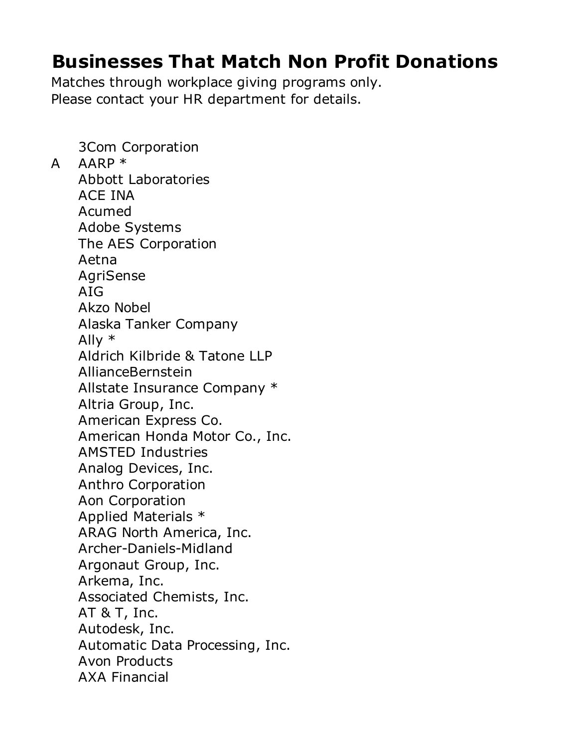## **Businesses That Match Non Profit Donations**

Matches through workplace giving programs only. Please contact your HR department for details.

3Com Corporation A AARP \* Abbott Laboratories ACE INA Acumed Adobe Systems The AES Corporation Aetna AgriSense AIG Akzo Nobel Alaska Tanker Company Ally \* Aldrich Kilbride & Tatone LLP AllianceBernstein Allstate Insurance Company \* Altria Group, Inc. American Express Co. American Honda Motor Co., Inc. AMSTED Industries Analog Devices, Inc. Anthro Corporation Aon Corporation Applied Materials \* ARAG North America, Inc. Archer-Daniels-Midland Argonaut Group, Inc. Arkema, Inc. Associated Chemists, Inc. AT & T, Inc. Autodesk, Inc. Automatic Data Processing, Inc. Avon Products AXA Financial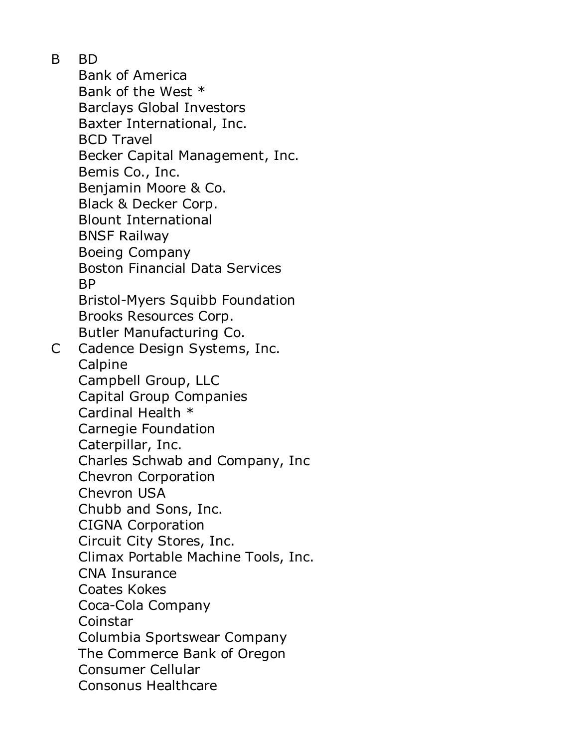B BD

Bank of America Bank of the West \* Barclays Global Investors Baxter International, Inc. BCD Travel Becker Capital Management, Inc. Bemis Co., Inc. Benjamin Moore & Co. Black & Decker Corp. Blount International BNSF Railway Boeing Company Boston Financial Data Services BP Bristol-Myers Squibb Foundation Brooks Resources Corp. Butler Manufacturing Co. C Cadence Design Systems, Inc. Calpine Campbell Group, LLC Capital Group Companies Cardinal Health \* Carnegie Foundation Caterpillar, Inc. Charles Schwab and Company, Inc Chevron Corporation Chevron USA Chubb and Sons, Inc. CIGNA Corporation Circuit City Stores, Inc. Climax Portable Machine Tools, Inc. CNA Insurance Coates Kokes Coca-Cola Company Coinstar Columbia Sportswear Company The Commerce Bank of Oregon Consumer Cellular Consonus Healthcare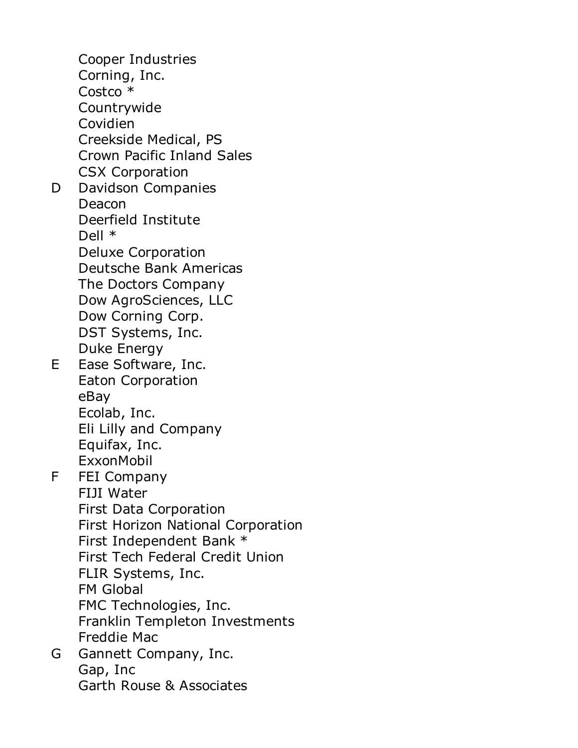Cooper Industries Corning, Inc. Costco \* Countrywide Covidien Creekside Medical, PS Crown Pacific Inland Sales CSX Corporation D Davidson Companies Deacon Deerfield Institute Dell \* Deluxe Corporation Deutsche Bank Americas The Doctors Company Dow AgroSciences, LLC Dow Corning Corp. DST Systems, Inc. Duke Energy E Ease Software, Inc. Eaton Corporation eBay Ecolab, Inc. Eli Lilly and Company Equifax, Inc. ExxonMobil F FEI Company FIJI Water First Data Corporation First Horizon National Corporation First Independent Bank \* First Tech Federal Credit Union FLIR Systems, Inc. FM Global FMC Technologies, Inc. Franklin Templeton Investments Freddie Mac G Gannett Company, Inc. Gap, Inc Garth Rouse & Associates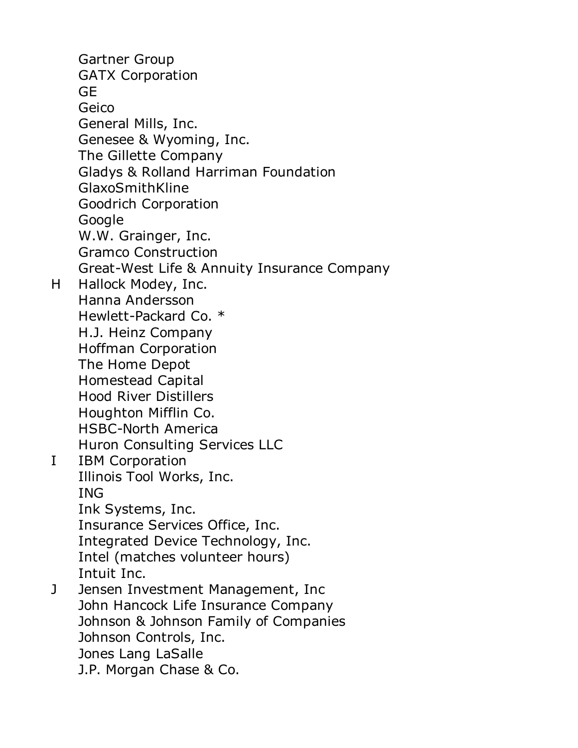Gartner Group GATX Corporation **GE** Geico General Mills, Inc. Genesee & Wyoming, Inc. The Gillette Company Gladys & Rolland Harriman Foundation GlaxoSmithKline Goodrich Corporation **Google** W.W. Grainger, Inc. Gramco Construction Great-West Life & Annuity Insurance Company H Hallock Modey, Inc. Hanna Andersson Hewlett-Packard Co. \* H.J. Heinz Company Hoffman Corporation The Home Depot Homestead Capital Hood River Distillers Houghton Mifflin Co. HSBC-North America Huron Consulting Services LLC I IBM Corporation Illinois Tool Works, Inc. ING Ink Systems, Inc. Insurance Services Office, Inc. Integrated Device Technology, Inc. Intel (matches volunteer hours) Intuit Inc. J Jensen Investment Management, Inc John Hancock Life Insurance Company Johnson & Johnson Family of Companies Johnson Controls, Inc. Jones Lang LaSalle J.P. Morgan Chase & Co.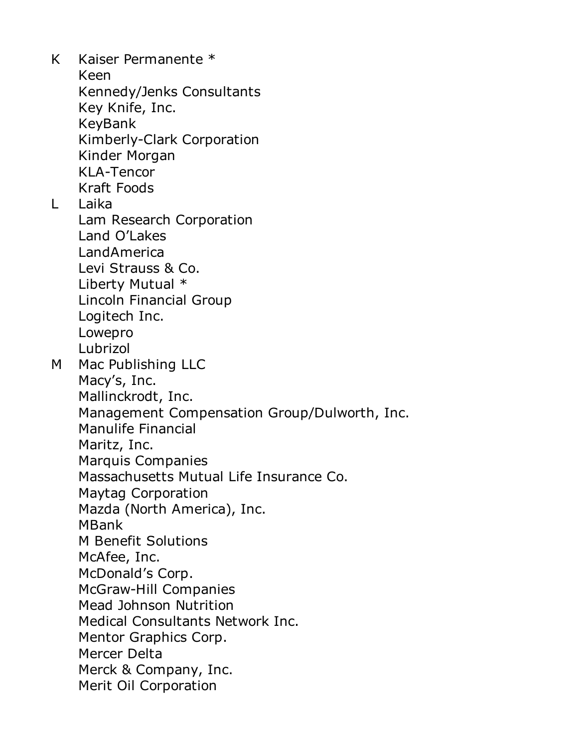K Kaiser Permanente \* Keen Kennedy/Jenks Consultants Key Knife, Inc. KeyBank Kimberly-Clark Corporation Kinder Morgan KLA-Tencor Kraft Foods L Laika Lam Research Corporation Land O'Lakes LandAmerica Levi Strauss & Co. Liberty Mutual \* Lincoln Financial Group Logitech Inc. Lowepro Lubrizol M Mac Publishing LLC Macy's, Inc. Mallinckrodt, Inc. Management Compensation Group/Dulworth, Inc. Manulife Financial Maritz, Inc. Marquis Companies Massachusetts Mutual Life Insurance Co. Maytag Corporation Mazda (North America), Inc. MBank M Benefit Solutions McAfee, Inc. McDonald's Corp. McGraw-Hill Companies Mead Johnson Nutrition Medical Consultants Network Inc. Mentor Graphics Corp. Mercer Delta Merck & Company, Inc. Merit Oil Corporation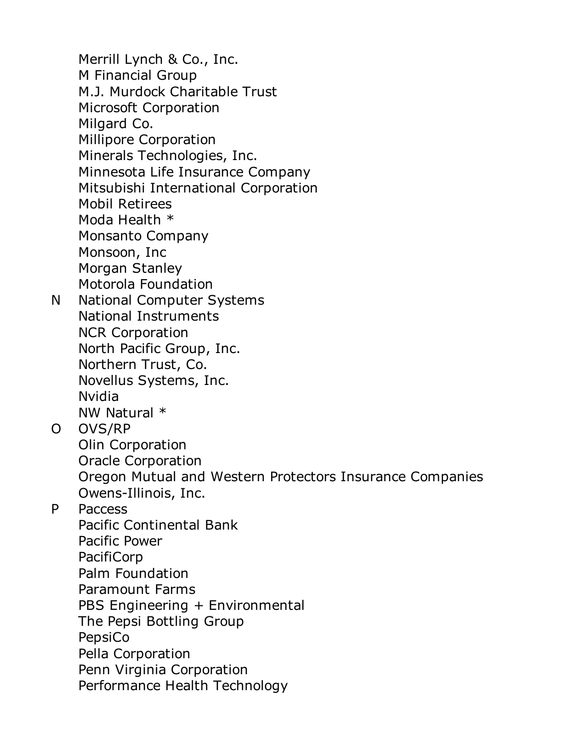Merrill Lynch & Co., Inc. M Financial Group M.J. Murdock Charitable Trust Microsoft Corporation Milgard Co. Millipore Corporation Minerals Technologies, Inc. Minnesota Life Insurance Company Mitsubishi International Corporation Mobil Retirees Moda Health \* Monsanto Company Monsoon, Inc Morgan Stanley Motorola Foundation N National Computer Systems National Instruments NCR Corporation North Pacific Group, Inc. Northern Trust, Co. Novellus Systems, Inc. Nvidia NW Natural \* O OVS/RP Olin Corporation Oracle Corporation Oregon Mutual and Western Protectors Insurance Companies Owens-Illinois, Inc. P Paccess Pacific Continental Bank Pacific Power PacifiCorp Palm Foundation Paramount Farms PBS Engineering + Environmental The Pepsi Bottling Group PepsiCo Pella Corporation Penn Virginia Corporation Performance Health Technology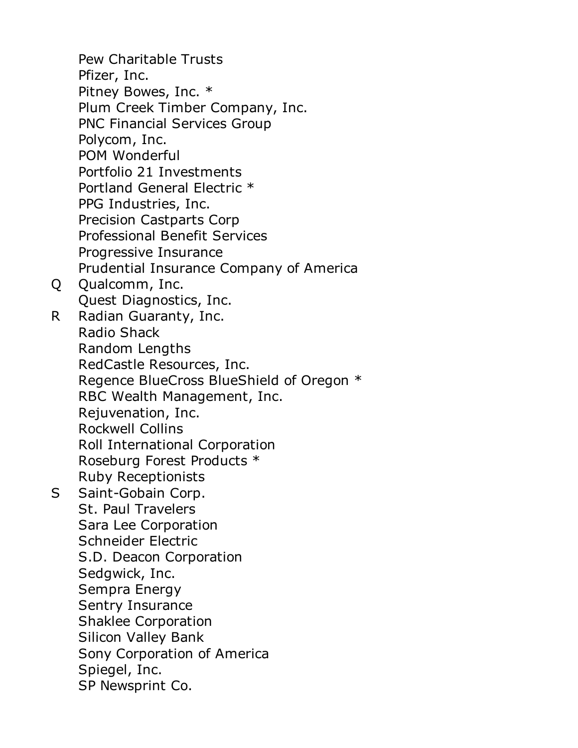Pew Charitable Trusts Pfizer, Inc. Pitney Bowes, Inc. \* Plum Creek Timber Company, Inc. PNC Financial Services Group Polycom, Inc. POM Wonderful Portfolio 21 Investments Portland General Electric \* PPG Industries, Inc. Precision Castparts Corp Professional Benefit Services Progressive Insurance Prudential Insurance Company of America Q Qualcomm, Inc. Quest Diagnostics, Inc. R Radian Guaranty, Inc. Radio Shack Random Lengths RedCastle Resources, Inc. Regence BlueCross BlueShield of Oregon \* RBC Wealth Management, Inc. Rejuvenation, Inc. Rockwell Collins Roll International Corporation Roseburg Forest Products \* Ruby Receptionists S Saint-Gobain Corp. St. Paul Travelers Sara Lee Corporation Schneider Electric S.D. Deacon Corporation Sedgwick, Inc. Sempra Energy Sentry Insurance Shaklee Corporation Silicon Valley Bank Sony Corporation of America Spiegel, Inc. SP Newsprint Co.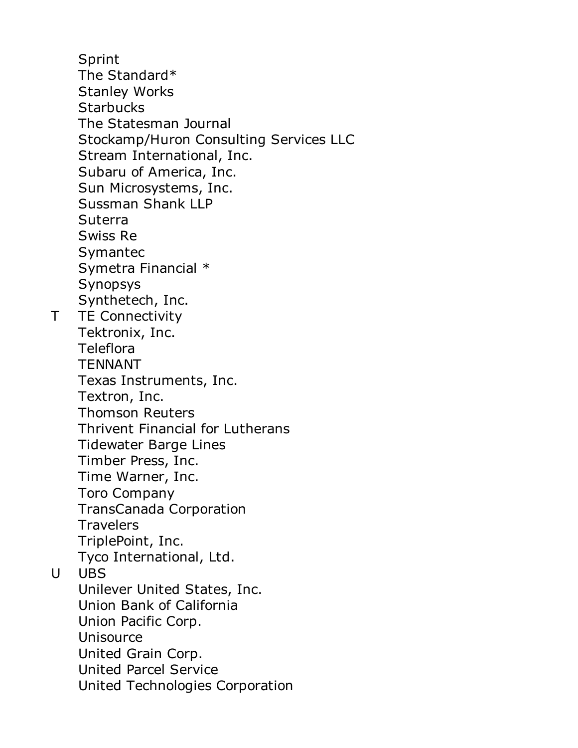Sprint The Standard\* Stanley Works **Starbucks** The Statesman Journal Stockamp/Huron Consulting Services LLC Stream International, Inc. Subaru of America, Inc. Sun Microsystems, Inc. Sussman Shank LLP **Suterra** Swiss Re Symantec Symetra Financial \* Synopsys Synthetech, Inc. T TE Connectivity Tektronix, Inc. Teleflora TENNANT Texas Instruments, Inc. Textron, Inc. Thomson Reuters Thrivent Financial for Lutherans Tidewater Barge Lines Timber Press, Inc. Time Warner, Inc. Toro Company TransCanada Corporation **Travelers** TriplePoint, Inc. Tyco International, Ltd. U UBS Unilever United States, Inc. Union Bank of California Union Pacific Corp. Unisource United Grain Corp. United Parcel Service United Technologies Corporation